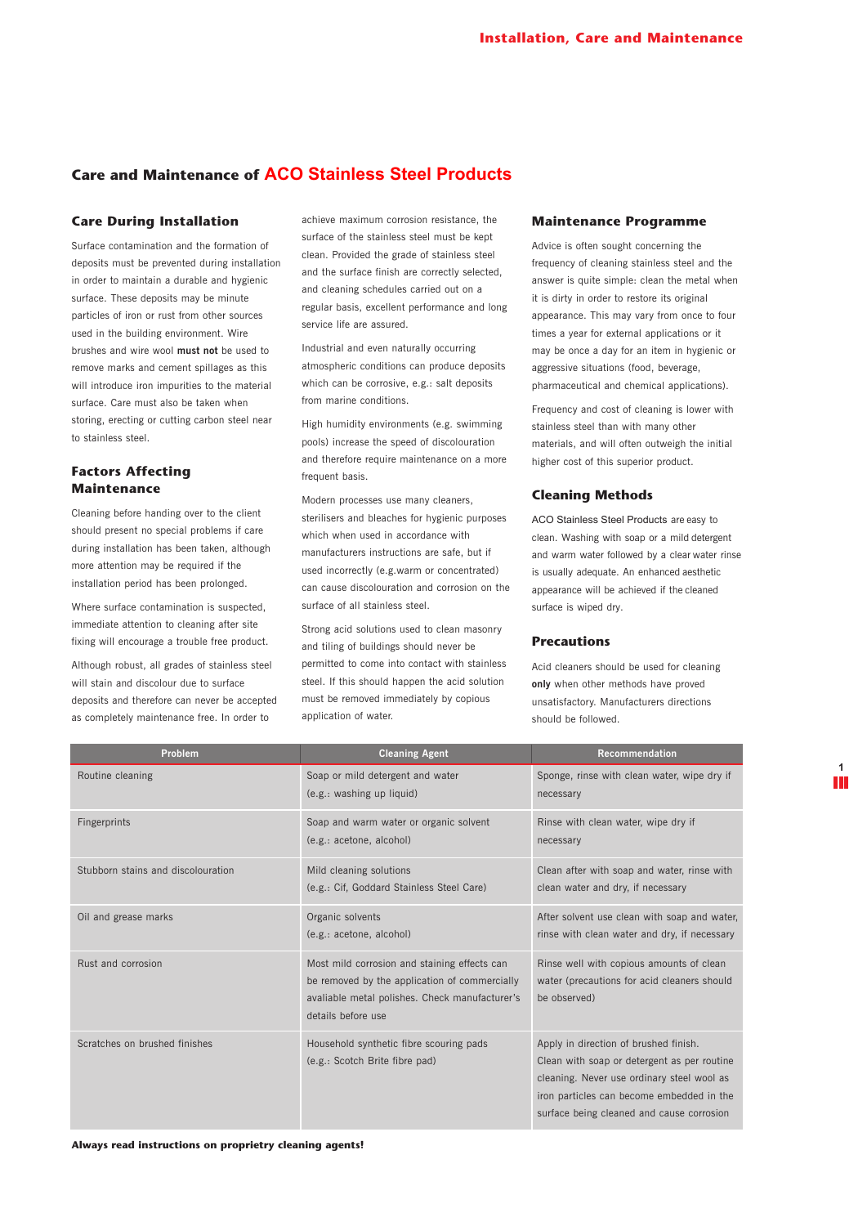## **Care and Maintenance of ACO Stainless Steel Products**

#### **Care During Installation**

Surface contamination and the formation of deposits must be prevented during installation in order to maintain a durable and hygienic surface. These deposits may be minute particles of iron or rust from other sources used in the building environment. Wire brushes and wire wool **must not** be used to remove marks and cement spillages as this will introduce iron impurities to the material surface. Care must also be taken when storing, erecting or cutting carbon steel near to stainless steel.

### **Factors Affecting Maintenance**

Cleaning before handing over to the client should present no special problems if care during installation has been taken, although more attention may be required if the installation period has been prolonged.

Where surface contamination is suspected. immediate attention to cleaning after site fixing will encourage a trouble free product.

Although robust, all grades of stainless steel will stain and discolour due to surface deposits and therefore can never be accepted as completely maintenance free. In order to

achieve maximum corrosion resistance, the surface of the stainless steel must be kept clean. Provided the grade of stainless steel and the surface finish are correctly selected, and cleaning schedules carried out on a regular basis, excellent performance and long service life are assured.

Industrial and even naturally occurring atmospheric conditions can produce deposits which can be corrosive, e.g.: salt deposits from marine conditions.

High humidity environments (e.g. swimming pools) increase the speed of discolouration and therefore require maintenance on a more frequent basis.

Modern processes use many cleaners, sterilisers and bleaches for hygienic purposes which when used in accordance with manufacturers instructions are safe, but if used incorrectly (e.g.warm or concentrated) can cause discolouration and corrosion on the surface of all stainless steel.

Strong acid solutions used to clean masonry and tiling of buildings should never be permitted to come into contact with stainless steel. If this should happen the acid solution must be removed immediately by copious application of water.

#### **Maintenance Programme**

Advice is often sought concerning the frequency of cleaning stainless steel and the answer is quite simple: clean the metal when it is dirty in order to restore its original appearance. This may vary from once to four times a year for external applications or it may be once a day for an item in hygienic or aggressive situations (food, beverage, pharmaceutical and chemical applications).

Frequency and cost of cleaning is lower with stainless steel than with many other materials, and will often outweigh the initial higher cost of this superior product.

#### **Cleaning Methods**

ACO Stainless Steel Products are easy to clean. Washing with soap or a mild detergent and warm water followed by a clear water rinse is usually adequate. An enhanced aesthetic appearance will be achieved if the cleaned surface is wiped dry.

#### **Precautions**

Acid cleaners should be used for cleaning **only** when other methods have proved unsatisfactory. Manufacturers directions should be followed.

| Problem                            | <b>Cleaning Agent</b>                                                                                                                                                 | <b>Recommendation</b>                                                                                                                                                                                                        |
|------------------------------------|-----------------------------------------------------------------------------------------------------------------------------------------------------------------------|------------------------------------------------------------------------------------------------------------------------------------------------------------------------------------------------------------------------------|
| Routine cleaning                   | Soap or mild detergent and water<br>(e.g.: washing up liquid)                                                                                                         | Sponge, rinse with clean water, wipe dry if<br>necessary                                                                                                                                                                     |
| Fingerprints                       | Soap and warm water or organic solvent<br>(e.g.: acetone, alcohol)                                                                                                    | Rinse with clean water, wipe dry if<br>necessary                                                                                                                                                                             |
| Stubborn stains and discolouration | Mild cleaning solutions<br>(e.g.: Cif, Goddard Stainless Steel Care)                                                                                                  | Clean after with soap and water, rinse with<br>clean water and dry, if necessary                                                                                                                                             |
| Oil and grease marks               | Organic solvents<br>(e.g.: acetone, alcohol)                                                                                                                          | After solvent use clean with soap and water,<br>rinse with clean water and dry, if necessary                                                                                                                                 |
| Rust and corrosion                 | Most mild corrosion and staining effects can<br>be removed by the application of commercially<br>avaliable metal polishes. Check manufacturer's<br>details before use | Rinse well with copious amounts of clean<br>water (precautions for acid cleaners should<br>be observed)                                                                                                                      |
| Scratches on brushed finishes      | Household synthetic fibre scouring pads<br>(e.g.: Scotch Brite fibre pad)                                                                                             | Apply in direction of brushed finish.<br>Clean with soap or detergent as per routine<br>cleaning. Never use ordinary steel wool as<br>iron particles can become embedded in the<br>surface being cleaned and cause corrosion |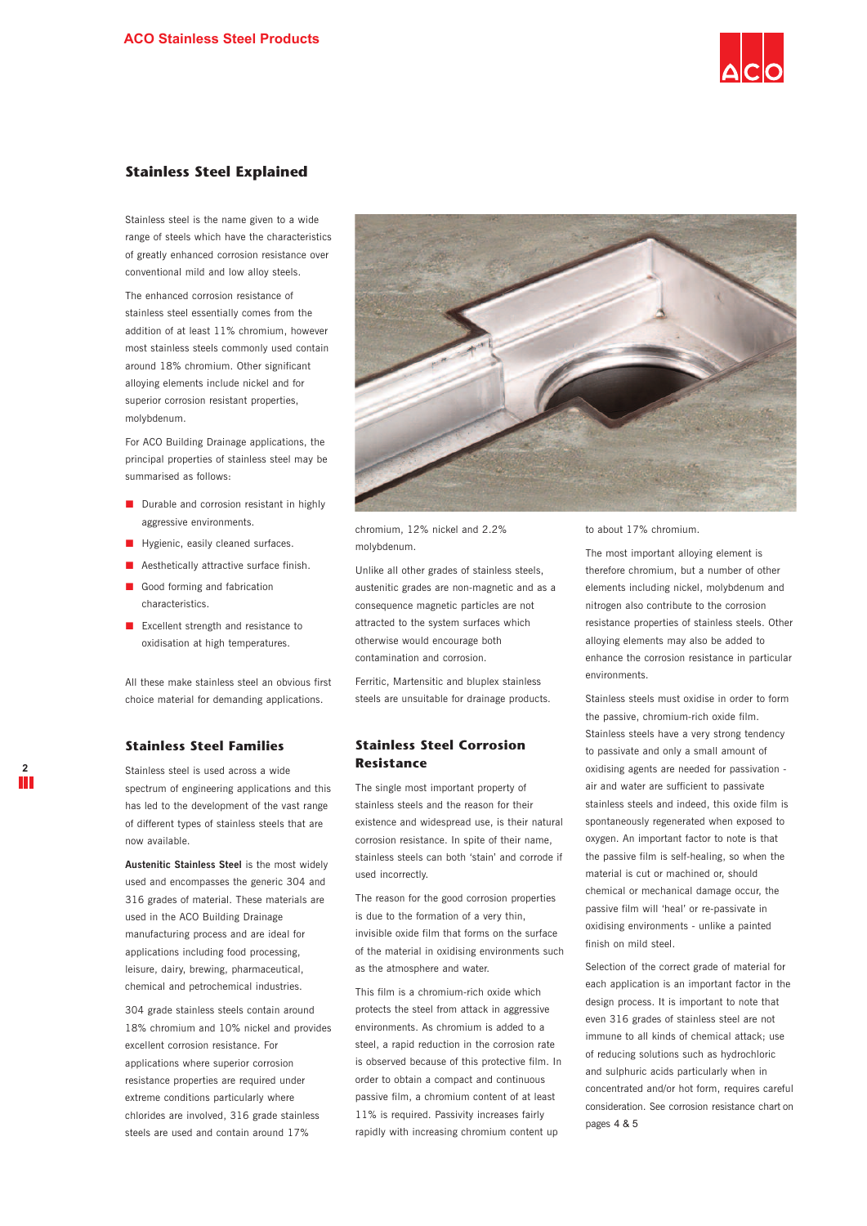

### **Stainless Steel Explained**

Stainless steel is the name given to a wide range of steels which have the characteristics of greatly enhanced corrosion resistance over conventional mild and low alloy steels.

The enhanced corrosion resistance of stainless steel essentially comes from the addition of at least 11% chromium, however most stainless steels commonly used contain around 18% chromium. Other significant alloying elements include nickel and for superior corrosion resistant properties, molybdenum.

For ACO Building Drainage applications, the principal properties of stainless steel may be summarised as follows:

- Durable and corrosion resistant in highly aggressive environments.
- **Hygienic, easily cleaned surfaces.**
- **Aesthetically attractive surface finish.**
- Good forming and fabrication characteristics.
- **EXCELLENT STEED EXCELLENT** EXCELLENT EXCELLENT And resistance to oxidisation at high temperatures.

All these make stainless steel an obvious first choice material for demanding applications.

#### **Stainless Steel Families**

Stainless steel is used across a wide spectrum of engineering applications and this has led to the development of the vast range of different types of stainless steels that are now available.

**Austenitic Stainless Steel** is the most widely used and encompasses the generic 304 and 316 grades of material. These materials are used in the ACO Building Drainage manufacturing process and are ideal for applications including food processing, leisure, dairy, brewing, pharmaceutical, chemical and petrochemical industries.

304 grade stainless steels contain around 18% chromium and 10% nickel and provides excellent corrosion resistance. For applications where superior corrosion resistance properties are required under extreme conditions particularly where chlorides are involved, 316 grade stainless steels are used and contain around 17%



chromium, 12% nickel and 2.2% molybdenum.

Unlike all other grades of stainless steels, austenitic grades are non-magnetic and as a consequence magnetic particles are not attracted to the system surfaces which otherwise would encourage both contamination and corrosion.

Ferritic, Martensitic and bluplex stainless steels are unsuitable for drainage products.

### **Stainless Steel Corrosion Resistance**

The single most important property of stainless steels and the reason for their existence and widespread use, is their natural corrosion resistance. In spite of their name, stainless steels can both 'stain' and corrode if used incorrectly.

The reason for the good corrosion properties is due to the formation of a very thin, invisible oxide film that forms on the surface of the material in oxidising environments such as the atmosphere and water.

This film is a chromium-rich oxide which protects the steel from attack in aggressive environments. As chromium is added to a steel, a rapid reduction in the corrosion rate is observed because of this protective film. In order to obtain a compact and continuous passive film, a chromium content of at least 11% is required. Passivity increases fairly rapidly with increasing chromium content up

to about 17% chromium.

The most important alloying element is therefore chromium, but a number of other elements including nickel, molybdenum and nitrogen also contribute to the corrosion resistance properties of stainless steels. Other alloying elements may also be added to enhance the corrosion resistance in particular environments.

Stainless steels must oxidise in order to form the passive, chromium-rich oxide film. Stainless steels have a very strong tendency to passivate and only a small amount of oxidising agents are needed for passivation air and water are sufficient to passivate stainless steels and indeed, this oxide film is spontaneously regenerated when exposed to oxygen. An important factor to note is that the passive film is self-healing, so when the material is cut or machined or, should chemical or mechanical damage occur, the passive film will 'heal' or re-passivate in oxidising environments - unlike a painted finish on mild steel.

Selection of the correct grade of material for each application is an important factor in the design process. It is important to note that even 316 grades of stainless steel are not immune to all kinds of chemical attack; use of reducing solutions such as hydrochloric and sulphuric acids particularly when in concentrated and/or hot form, requires careful consideration. See corrosion resistance chart on pages 4 & 5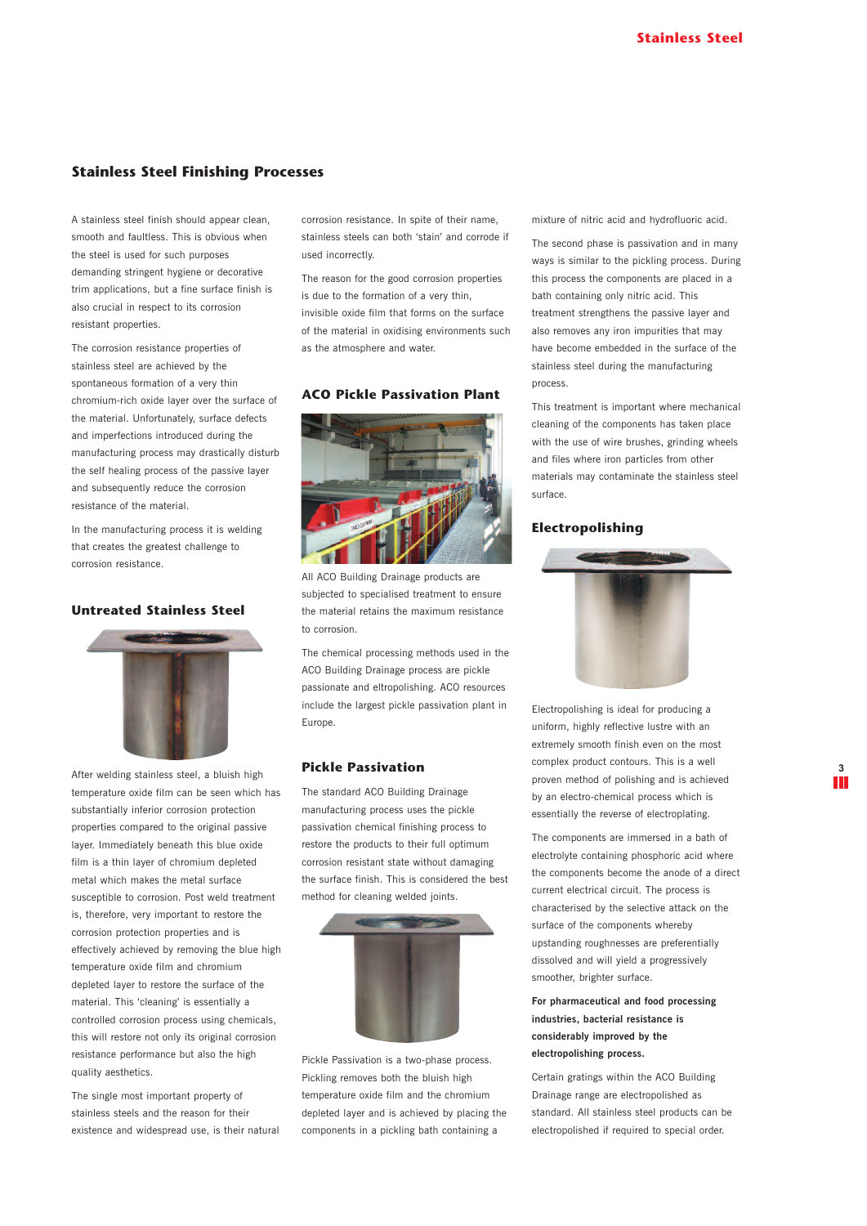### **Stainless Steel Finishing Processes**

A stainless steel finish should appear clean, smooth and faultless. This is obvious when the steel is used for such purposes demanding stringent hygiene or decorative trim applications, but a fine surface finish is also crucial in respect to its corrosion resistant properties.

The corrosion resistance properties of stainless steel are achieved by the spontaneous formation of a very thin chromium-rich oxide layer over the surface of the material. Unfortunately, surface defects and imperfections introduced during the manufacturing process may drastically disturb the self healing process of the passive layer and subsequently reduce the corrosion resistance of the material.

In the manufacturing process it is welding that creates the greatest challenge to corrosion resistance.

### **Untreated Stainless Steel**



After welding stainless steel, a bluish high temperature oxide film can be seen which has substantially inferior corrosion protection properties compared to the original passive layer. Immediately beneath this blue oxide film is a thin layer of chromium depleted metal which makes the metal surface susceptible to corrosion. Post weld treatment is, therefore, very important to restore the corrosion protection properties and is effectively achieved by removing the blue high temperature oxide film and chromium depleted layer to restore the surface of the material. This 'cleaning' is essentially a controlled corrosion process using chemicals, this will restore not only its original corrosion resistance performance but also the high quality aesthetics.

The single most important property of stainless steels and the reason for their existence and widespread use, is their natural corrosion resistance. In spite of their name, stainless steels can both 'stain' and corrode if used incorrectly.

The reason for the good corrosion properties is due to the formation of a very thin, invisible oxide film that forms on the surface of the material in oxidising environments such as the atmosphere and water.

### **ACO Pickle Passivation Plant**



All ACO Building Drainage products are subjected to specialised treatment to ensure the material retains the maximum resistance to corrosion.

The chemical processing methods used in the ACO Building Drainage process are pickle passionate and eltropolishing. ACO resources include the largest pickle passivation plant in Europe.

#### **Pickle Passivation**

The standard ACO Building Drainage manufacturing process uses the pickle passivation chemical finishing process to restore the products to their full optimum corrosion resistant state without damaging the surface finish. This is considered the best method for cleaning welded joints.



Pickle Passivation is a two-phase process. Pickling removes both the bluish high temperature oxide film and the chromium depleted layer and is achieved by placing the components in a pickling bath containing a

mixture of nitric acid and hydrofluoric acid.

The second phase is passivation and in many ways is similar to the pickling process. During this process the components are placed in a bath containing only nitric acid. This treatment strengthens the passive layer and also removes any iron impurities that may have become embedded in the surface of the stainless steel during the manufacturing process.

This treatment is important where mechanical cleaning of the components has taken place with the use of wire brushes, grinding wheels and files where iron particles from other materials may contaminate the stainless steel surface.

#### **Electropolishing**



Electropolishing is ideal for producing a uniform, highly reflective lustre with an extremely smooth finish even on the most complex product contours. This is a well proven method of polishing and is achieved by an electro-chemical process which is essentially the reverse of electroplating.

The components are immersed in a bath of electrolyte containing phosphoric acid where the components become the anode of a direct current electrical circuit. The process is characterised by the selective attack on the surface of the components whereby upstanding roughnesses are preferentially dissolved and will yield a progressively smoother, brighter surface.

### **For pharmaceutical and food processing industries, bacterial resistance is considerably improved by the electropolishing process.**

Certain gratings within the ACO Building Drainage range are electropolished as standard. All stainless steel products can be electropolished if required to special order.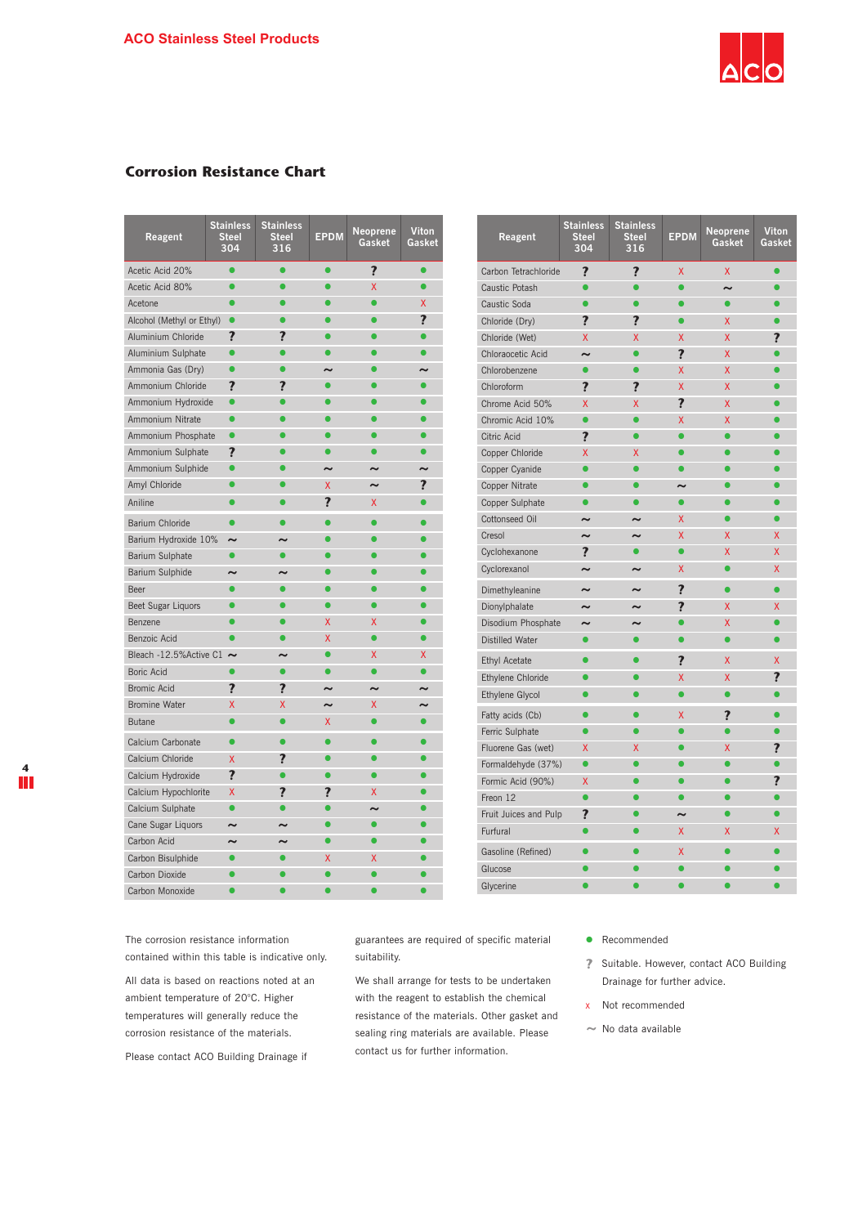

**EPDM Viton Neoprene**

**Gasket**

**Viton**<br>Gaske

## **Corrosion Resistance Chart**

| Reagent                        | <b>Stainless</b><br><b>Steel</b><br>304 | <b>Stainless</b><br><b>Steel</b><br>316 | <b>EPDM</b>           | <b>Neoprene</b><br>Gasket | Viton<br>Gasket          | Reagent                | <b>Stainless</b><br><b>Steel</b><br>304 |
|--------------------------------|-----------------------------------------|-----------------------------------------|-----------------------|---------------------------|--------------------------|------------------------|-----------------------------------------|
| Acetic Acid 20%                |                                         | Ō                                       | $\bullet$             | ?                         | $\bullet$                | Carbon Tetrachloride   | ?                                       |
| Acetic Acid 80%                |                                         | $\bullet$                               | ∙                     | X                         | $\bullet$                | Caustic Potash         |                                         |
| Acetone                        |                                         | ∙                                       |                       | $\bullet$                 | X.                       | Caustic Soda           |                                         |
| Alcohol (Methyl or Ethyl)      | $\bullet$                               |                                         |                       | O                         | ?                        | Chloride (Dry)         | ?                                       |
| Aluminium Chloride             | ?                                       | ?                                       |                       |                           |                          | Chloride (Wet)         | <b>X</b>                                |
| Aluminium Sulphate             | $\bullet$                               | ٠                                       |                       | ٠                         |                          | Chloraocetic Acid      |                                         |
| Ammonia Gas (Dry)              | $\bullet$                               | ∙                                       | $\sim$                |                           | $\overline{\phantom{0}}$ | Chlorobenzene          |                                         |
| Ammonium Chloride              | ?                                       | ?                                       | $\bullet$             | ∙                         |                          | Chloroform             | ?                                       |
| Ammonium Hydroxide             | $\bullet$                               | ∙                                       |                       | ∙                         |                          | Chrome Acid 50%        | X                                       |
| Ammonium Nitrate               | O                                       |                                         |                       | $\bullet$                 |                          | Chromic Acid 10%       |                                         |
| Ammonium Phosphate             | $\bullet$                               |                                         |                       |                           |                          | Citric Acid            | ?                                       |
| Ammonium Sulphate              | ?                                       | ٠                                       | $\bullet$             | ō                         | $\bullet$                | Copper Chloride        | X                                       |
| Ammonium Sulphide              | $\bullet$                               | $\bullet$                               | $\tilde{\phantom{a}}$ | $\sim$                    | $\tilde{\phantom{a}}$    | Copper Cyanide         |                                         |
| Amyl Chloride                  |                                         |                                         | X                     | $\tilde{\phantom{a}}$     | ?                        | Copper Nitrate         |                                         |
| Aniline                        |                                         | O                                       | ?                     | X                         |                          | Copper Sulphate        |                                         |
| Barium Chloride                | $\bullet$                               | $\bullet$                               |                       | $\bullet$                 |                          | Cottonseed Oil         | $\sim$                                  |
| Barium Hydroxide 10%           | $\tilde{\phantom{a}}$                   | $\sim$                                  | ●                     | $\bullet$                 |                          | Cresol                 |                                         |
| Barium Sulphate                | $\bullet$                               | $\bullet$                               |                       | O                         |                          | Cyclohexanone          | ?                                       |
| Barium Sulphide                | $\tilde{ }$                             | $\tilde{\phantom{a}}$                   |                       | $\bullet$                 |                          | Cyclorexanol           | $\sim$                                  |
| Beer                           |                                         |                                         |                       |                           |                          | Dimethyleanine         | w                                       |
| Beet Sugar Liquors             | $\bullet$                               | ٠                                       | $\bullet$             | $\bullet$                 |                          | Dionylphalate          |                                         |
| Benzene                        |                                         | ٠                                       | X                     | X                         |                          | Disodium Phosphate     | $\sim$                                  |
| Benzoic Acid                   | $\bullet$                               | ō                                       | X                     | ō                         |                          | <b>Distilled Water</b> |                                         |
| Bleach -12.5% Active C1 $\sim$ |                                         | $\sim$                                  | ٠                     | X                         | X                        | <b>Ethyl Acetate</b>   |                                         |
| Boric Acid                     |                                         | $\bullet$                               | ●                     | $\bullet$                 |                          | Ethylene Chloride      |                                         |
| <b>Bromic Acid</b>             | ?                                       | ?                                       | $\sim$                | $\sim$                    | $\sim$                   | Ethylene Glycol        |                                         |
| <b>Bromine Water</b>           | X                                       | X                                       | $\tilde{\phantom{a}}$ | X                         | $\sim$                   | Fatty acids (Cb)       |                                         |
| <b>Butane</b>                  | $\bullet$                               | $\bullet$                               | X                     | $\bullet$                 | $\bullet$                | Ferric Sulphate        |                                         |
| Calcium Carbonate              | $\bullet$                               | $\bullet$                               | $\bullet$             | $\bullet$                 |                          | Fluorene Gas (wet)     | X                                       |
| Calcium Chloride               | X.                                      | ?                                       | $\bullet$             | $\bullet$                 |                          | Formaldehyde (37%)     | $\bullet$                               |
| Calcium Hydroxide              | $\overline{\mathbf{r}}$                 | $\bullet$                               | ●                     | $\bullet$                 |                          | Formic Acid (90%)      | X                                       |
| Calcium Hypochlorite           | X                                       | ?                                       | 7                     | X                         |                          | Freon 12               |                                         |
| Calcium Sulphate               | $\bullet$                               | r                                       |                       | $\sim$                    |                          | Fruit Juices and Pulp  | ?                                       |
| Cane Sugar Liquors             | $\tilde{\phantom{a}}$                   | w                                       |                       |                           |                          | Furfural               |                                         |
| Carbon Acid                    |                                         |                                         | $\bullet$             | $\bullet$                 |                          |                        |                                         |
| Carbon Bisulphide              |                                         | ä                                       | x                     | X                         |                          | Gasoline (Refined)     |                                         |
| Carbon Dioxide                 |                                         |                                         |                       | ō                         |                          | Glucose                |                                         |
| Carbon Monoxide                |                                         |                                         |                       |                           |                          | Glycerine              |                                         |

| Carbon Tetrachloride   | ?                       | $\overline{\mathbf{?}}$ | X                       | X         |           |
|------------------------|-------------------------|-------------------------|-------------------------|-----------|-----------|
| Caustic Potash         |                         |                         |                         | ∼         |           |
| Caustic Soda           |                         |                         |                         | $\bullet$ |           |
| Chloride (Dry)         | ?                       | ?                       |                         | X         |           |
| Chloride (Wet)         | X                       | X                       | x                       | X         | 7         |
| Chloraocetic Acid      | w                       |                         | $\overline{\mathbf{r}}$ | X         |           |
| Chlorobenzene          | ō                       | ō                       | X                       | X         |           |
| Chloroform             | ?                       | ?                       | X                       | X         |           |
| Chrome Acid 50%        | X                       | X                       | $\overline{\mathbf{r}}$ | X         |           |
| Chromic Acid 10%       | $\bullet$               |                         | Χ                       | X         |           |
| Citric Acid            | ?                       |                         |                         |           |           |
| Copper Chloride        | X                       | X                       |                         |           |           |
| Copper Cyanide         |                         |                         |                         |           |           |
| Copper Nitrate         |                         |                         | $\tilde{\phantom{a}}$   |           |           |
| Copper Sulphate        |                         |                         |                         |           |           |
| Cottonseed Oil         | w                       |                         | X                       |           |           |
| Cresol                 | $\sim$                  | $\sim$                  | X                       | X         | X         |
| Cyclohexanone          | $\overline{\mathbf{r}}$ | $\bullet$               | ō                       | X         | X         |
| Cyclorexanol           | $\tilde{ }$             | $\tilde{\phantom{a}}$   | Χ                       | $\bullet$ | X         |
| Dimethyleanine         | $\sim$                  | $\tilde{\phantom{a}}$   | $\overline{\mathbf{r}}$ | $\bullet$ | $\bullet$ |
| Dionylphalate          | $\sim$                  | $\sim$                  | $\overline{\mathbf{r}}$ | X         | X         |
| Disodium Phosphate     | $\sim$                  |                         |                         | X         |           |
| <b>Distilled Water</b> | $\bullet$               | $\bullet$               | ō                       | ō         |           |
| <b>Ethyl Acetate</b>   |                         |                         | ?                       | X         | X         |
| Ethylene Chloride      |                         |                         | X                       | X         | ?         |
| <b>Ethylene Glycol</b> |                         |                         | $\bullet$               |           |           |
| Fatty acids (Cb)       |                         |                         | Χ                       | ?         | ●         |
| Ferric Sulphate        |                         |                         |                         |           |           |
| Fluorene Gas (wet)     | X                       | X                       |                         | Χ         | ?         |
| Formaldehyde (37%)     |                         |                         |                         |           |           |
| Formic Acid (90%)      | X                       |                         |                         |           | ?         |
| Freon 12               | ●                       |                         |                         |           |           |
| Fruit Juices and Pulp  | ?                       |                         | $\tilde{\phantom{a}}$   |           |           |
| Furfural               |                         |                         | X                       | X         | X         |
| Gasoline (Refined)     |                         |                         | X                       |           |           |
| Glucose                |                         |                         |                         |           |           |
| Glycerine              |                         |                         |                         |           |           |
|                        |                         |                         |                         |           |           |

**Stainless Steel 316**

The corrosion resistance information contained within this table is indicative only.

All data is based on reactions noted at an ambient temperature of 20°C. Higher temperatures will generally reduce the corrosion resistance of the materials.

Please contact ACO Building Drainage if

guarantees are required of specific material suitability.

We shall arrange for tests to be undertaken with the reagent to establish the chemical resistance of the materials. Other gasket and sealing ring materials are available. Please contact us for further information.

- Recommended
- **?** Suitable. However, contact ACO Building Drainage for further advice.
- x Not recommended
- *~* No data available